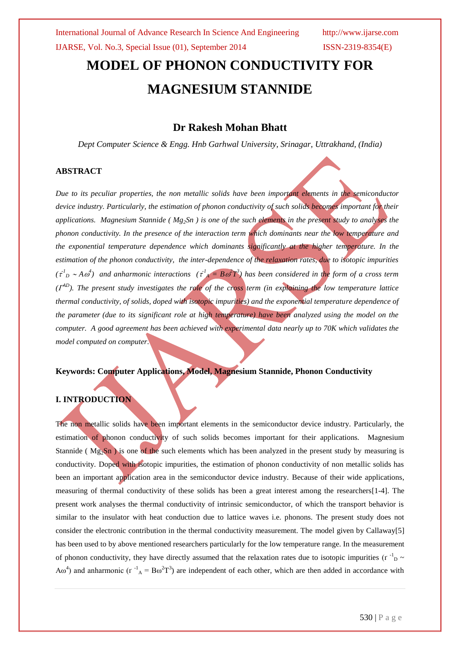# **MODEL OF PHONON CONDUCTIVITY FOR MAGNESIUM STANNIDE**

### **Dr Rakesh Mohan Bhatt**

*Dept Computer Science & Engg. Hnb Garhwal University, Srinagar, Uttrakhand, (India)*

#### **ABSTRACT**

*Due to its peculiar properties, the non metallic solids have been important elements in the semiconductor device industry. Particularly, the estimation of phonon conductivity of such solids becomes important for their applications. Magnesium Stannide ( Mg2Sn ) is one of the such elements in the present study to analyses the phonon conductivity. In the presence of the interaction term which dominants near the low temperature and the exponential temperature dependence which dominants significantly at the higher temperature. In the estimation of the phonon conductivity, the inter-dependence of the relaxation rates, due to isotopic impurities*   $(\tau_{D}^{1} \sim A \omega^{4})$  and anharmonic interactions  $(\tau_{A}^{1} = B \omega^{2} T^{3})$  has been considered in the form of a cross term *( AD). The present study investigates the role of the cross term (in explaining the low temperature lattice thermal conductivity, of solids, doped with isotopic impurities) and the exponential temperature dependence of the parameter (due to its significant role at high temperature) have been analyzed using the model on the computer. A good agreement has been achieved with experimental data nearly up to 70K which validates the model computed on computer.*

#### **Keywords: Computer Applications, Model, Magnesium Stannide, Phonon Conductivity**

#### **I. INTRODUCTION**

The non metallic solids have been important elements in the semiconductor device industry. Particularly, the estimation of phonon conductivity of such solids becomes important for their applications. Magnesium Stannide ( $Mg_2Sn$ ) is one of the such elements which has been analyzed in the present study by measuring is conductivity. Doped with isotopic impurities, the estimation of phonon conductivity of non metallic solids has been an important application area in the semiconductor device industry. Because of their wide applications, measuring of thermal conductivity of these solids has been a great interest among the researchers[1-4]. The present work analyses the thermal conductivity of intrinsic semiconductor, of which the transport behavior is similar to the insulator with heat conduction due to lattice waves i.e. phonons. The present study does not consider the electronic contribution in the thermal conductivity measurement. The model given by Callaway[5] has been used to by above mentioned researchers particularly for the low temperature range. In the measurement of phonon conductivity, they have directly assumed that the relaxation rates due to isotopic impurities ( $r^{-1}$ <sub>D</sub> ~ A $\omega^4$ ) and anharmonic ( $\tau^{-1}$ <sub>A</sub> = B $\omega^2 T^3$ ) are independent of each other, which are then added in accordance with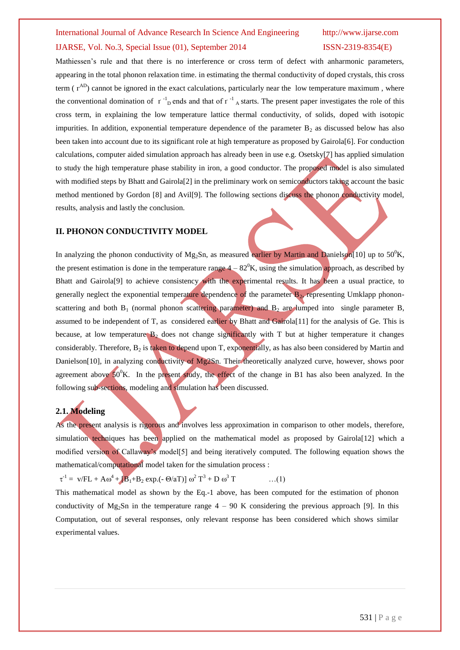# International Journal of Advance Research In Science And Engineering http://www.ijarse.com IJARSE, Vol. No.3, Special Issue (01), September 2014 ISSN-2319-8354(E)

Mathiessen's rule and that there is no interference or cross term of defect with anharmonic parameters, appearing in the total phonon relaxation time. in estimating the thermal conductivity of doped crystals, this cross term  $(\Gamma^{AD})$  cannot be ignored in the exact calculations, particularly near the low temperature maximum, where the conventional domination of  $r^{-1}$ <sub>D</sub> ends and that of  $r^{-1}$ <sub>A</sub> starts. The present paper investigates the role of this cross term, in explaining the low temperature lattice thermal conductivity, of solids, doped with isotopic impurities. In addition, exponential temperature dependence of the parameter  $B_2$  as discussed below has also been taken into account due to its significant role at high temperature as proposed by Gairola[6]. For conduction calculations, computer aided simulation approach has already been in use e.g. Osetsky[7] has applied simulation to study the high temperature phase stability in iron, a good conductor. The proposed model is also simulated with modified steps by Bhatt and Gairola<sup>[2]</sup> in the preliminary work on semiconductors taking account the basic method mentioned by Gordon [8] and Avil[9]. The following sections discuss the phonon conductivity model, results, analysis and lastly the conclusion.

#### **II. PHONON CONDUCTIVITY MODEL**

In analyzing the phonon conductivity of Mg<sub>2</sub>Sn, as measured earlier by Martin and Danielson<sup>[10]</sup> up to 50<sup>0</sup>K, the present estimation is done in the temperature range  $4 - 82^\circ$ K, using the simulation approach, as described by Bhatt and Gairola[9] to achieve consistency with the experimental results. It has been a usual practice, to generally neglect the exponential temperature dependence of the parameter  $B_2$ , representing Umklapp phononscattering and both  $B_1$  (normal phonon scattering parameter) and  $B_2$  are lumped into single parameter B, assumed to be independent of T, as considered earlier by Bhatt and  $Gain{Gal}[11]$  for the analysis of Ge. This is because, at low temperature  $B_2$  does not change significantly with T but at higher temperature it changes considerably. Therefore,  $B_2$  is taken to depend upon T, exponentially, as has also been considered by Martin and Danielson[10], in analyzing conductivity of Mg2Sn. Their theoretically analyzed curve, however, shows poor agreement above  $50^{\circ}$ K. In the present study, the effect of the change in B1 has also been analyzed. In the following sub-sections, modeling and simulation has been discussed.

### **2.1. Modeling**

As the present analysis is rigorous and involves less approximation in comparison to other models, therefore, simulation techniques has been applied on the mathematical model as proposed by Gairola<sup>[12]</sup> which a modified version of Callaway's model[5] and being iteratively computed. The following equation shows the mathematical/computational model taken for the simulation process :

 $\tau^{-1}$  = v/FL + Aω<sup>4</sup> + [**B**<sub>1</sub>+**B**<sub>2</sub> exp.(- Θ/aT)] ω<sup>2</sup> T<sup>3</sup> + D ω  $\dots(1)$ 

This mathematical model as shown by the Eq.-1 above, has been computed for the estimation of phonon conductivity of Mg<sub>2</sub>Sn in the temperature range  $4 - 90$  K considering the previous approach [9]. In this Computation, out of several responses, only relevant response has been considered which shows similar experimental values.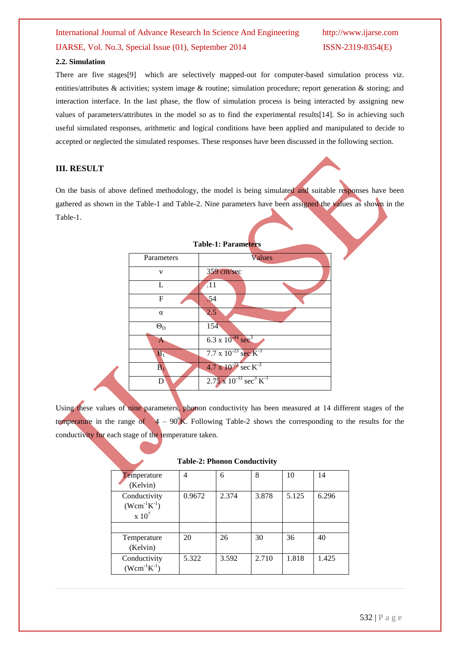## International Journal of Advance Research In Science And Engineering http://www.ijarse.com IJARSE, Vol. No.3, Special Issue (01), September 2014 ISSN-2319-8354(E)

#### **2.2. Simulation**

There are five stages[9] which are selectively mapped-out for computer-based simulation process viz. entities/attributes & activities; system image & routine; simulation procedure; report generation & storing; and interaction interface. In the last phase, the flow of simulation process is being interacted by assigning new values of parameters/attributes in the model so as to find the experimental results[14]. So in achieving such useful simulated responses, arithmetic and logical conditions have been applied and manipulated to decide to accepted or neglected the simulated responses. These responses have been discussed in the following section.

#### **III. RESULT**

On the basis of above defined methodology, the model is being simulated and suitable responses have been gathered as shown in the Table-1 and Table-2. Nine parameters have been assigned the values as shown in the Table-1.

| <b>Table-1: Parameters</b> |                                                     |  |  |  |  |
|----------------------------|-----------------------------------------------------|--|--|--|--|
| Parameters                 | Values                                              |  |  |  |  |
| v                          | 359 cm/sec                                          |  |  |  |  |
| L                          | .11                                                 |  |  |  |  |
| F                          | .54                                                 |  |  |  |  |
| $\alpha$                   | 2.5                                                 |  |  |  |  |
| $\Theta_{\rm D}$           | 154                                                 |  |  |  |  |
|                            | $6.3 \times 10^{-44}$ sec <sup>3</sup>              |  |  |  |  |
| B <sub>1</sub>             | 7.7 x $10^{-23}$ sec $K^{-3}$                       |  |  |  |  |
| $\overline{\mathbf{B}}_1$  | $4.7 \times 10^{-23}$ sec K <sup>-3</sup>           |  |  |  |  |
| D                          | $2.75 \times 10^{-33} \text{ sec}^3 \text{ K}^{-1}$ |  |  |  |  |

Using these values of nine parameters, phonon conductivity has been measured at 14 different stages of the temperature in the range of  $4 - 90^0$ K. Following Table-2 shows the corresponding to the results for the conductivity for each stage of the temperature taken.

|                     |        |       | $\tilde{\phantom{a}}$ |       |       |
|---------------------|--------|-------|-----------------------|-------|-------|
| <b>T</b> emperature | 4      | 6     | 8                     | 10    | 14    |
| (Kelvin)            |        |       |                       |       |       |
| Conductivity        | 0.9672 | 2.374 | 3.878                 | 5.125 | 6.296 |
| $(Wcm^{-1}K^{-1})$  |        |       |                       |       |       |
| $\times 10^7$       |        |       |                       |       |       |
|                     |        |       |                       |       |       |
| Temperature         | 20     | 26    | 30                    | 36    | 40    |
| (Kelvin)            |        |       |                       |       |       |
| Conductivity        | 5.322  | 3.592 | 2.710                 | 1.818 | 1.425 |
| $(Wcm^{-1}K^{-1})$  |        |       |                       |       |       |

#### **Table-2: Phonon Conductivity**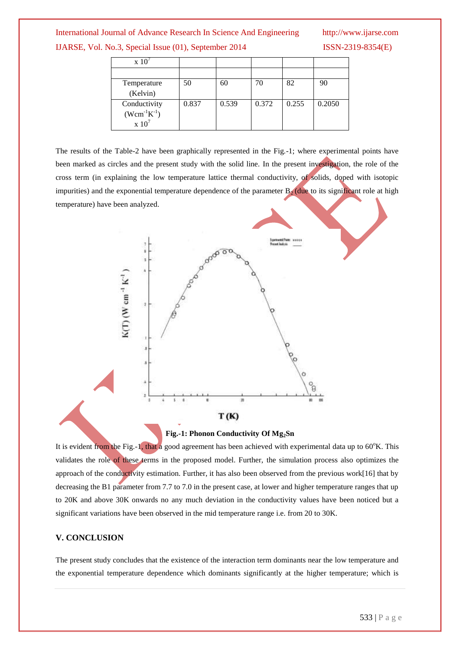#### International Journal of Advance Research In Science And Engineering http://www.ijarse.com

14 **ISSN-2319-8354(E)** 

|  | IJARSE, Vol. No.3, Special Issue (01), September 201 |  |  |  |  |  |
|--|------------------------------------------------------|--|--|--|--|--|
|--|------------------------------------------------------|--|--|--|--|--|

| Temperature<br>(Kelvin)                                                         | 50    | 60    |       | 82    | 90     |
|---------------------------------------------------------------------------------|-------|-------|-------|-------|--------|
| Conductivity<br>$(Wcm^{-1}K^{-1})$<br>$\boldsymbol{\mathrm{x}}$ 10 <sup>7</sup> | 0.837 | 0.539 | 0.372 | 0.255 | 0.2050 |

The results of the Table-2 have been graphically represented in the Fig.-1; where experimental points have been marked as circles and the present study with the solid line. In the present investigation, the role of the cross term (in explaining the low temperature lattice thermal conductivity, of solids, doped with isotopic impurities) and the exponential temperature dependence of the parameter  $B_2$  (due to its significant role at high temperature) have been analyzed.





It is evident from the Fig.-1, that a good agreement has been achieved with experimental data up to  $60^{\circ}$ K. This validates the role of these terms in the proposed model. Further, the simulation process also optimizes the approach of the conductivity estimation. Further, it has also been observed from the previous work[16] that by decreasing the B1 parameter from 7.7 to 7.0 in the present case, at lower and higher temperature ranges that up to 20K and above 30K onwards no any much deviation in the conductivity values have been noticed but a significant variations have been observed in the mid temperature range i.e. from 20 to 30K.

#### **V. CONCLUSION**

The present study concludes that the existence of the interaction term dominants near the low temperature and the exponential temperature dependence which dominants significantly at the higher temperature; which is